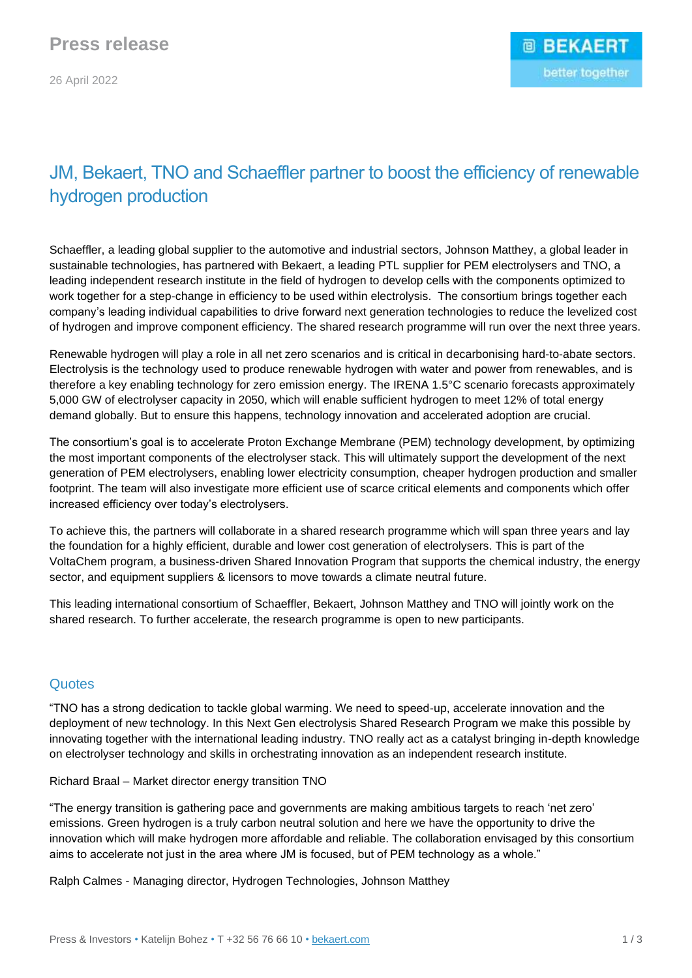26 April 2022

# JM, Bekaert, TNO and Schaeffler partner to boost the efficiency of renewable hydrogen production

Schaeffler, a leading global supplier to the automotive and industrial sectors, Johnson Matthey, a global leader in sustainable technologies, has partnered with Bekaert, a leading PTL supplier for PEM electrolysers and TNO, a leading independent research institute in the field of hydrogen to develop cells with the components optimized to work together for a step-change in efficiency to be used within electrolysis. The consortium brings together each company's leading individual capabilities to drive forward next generation technologies to reduce the levelized cost of hydrogen and improve component efficiency. The shared research programme will run over the next three years.

Renewable hydrogen will play a role in all net zero scenarios and is critical in decarbonising hard-to-abate sectors. Electrolysis is the technology used to produce renewable hydrogen with water and power from renewables, and is therefore a key enabling technology for zero emission energy. The IRENA 1.5°C scenario forecasts approximately 5,000 GW of electrolyser capacity in 2050, which will enable sufficient hydrogen to meet 12% of total energy demand globally. But to ensure this happens, technology innovation and accelerated adoption are crucial.

The consortium's goal is to accelerate Proton Exchange Membrane (PEM) technology development, by optimizing the most important components of the electrolyser stack. This will ultimately support the development of the next generation of PEM electrolysers, enabling lower electricity consumption, cheaper hydrogen production and smaller footprint. The team will also investigate more efficient use of scarce critical elements and components which offer increased efficiency over today's electrolysers.

To achieve this, the partners will collaborate in a shared research programme which will span three years and lay the foundation for a highly efficient, durable and lower cost generation of electrolysers. This is part of the VoltaChem program, a business-driven Shared Innovation Program that supports the chemical industry, the energy sector, and equipment suppliers & licensors to move towards a climate neutral future.

This leading international consortium of Schaeffler, Bekaert, Johnson Matthey and TNO will jointly work on the shared research. To further accelerate, the research programme is open to new participants.

## **Quotes**

"TNO has a strong dedication to tackle global warming. We need to speed-up, accelerate innovation and the deployment of new technology. In this Next Gen electrolysis Shared Research Program we make this possible by innovating together with the international leading industry. TNO really act as a catalyst bringing in-depth knowledge on electrolyser technology and skills in orchestrating innovation as an independent research institute.

Richard Braal – Market director energy transition TNO

"The energy transition is gathering pace and governments are making ambitious targets to reach 'net zero' emissions. Green hydrogen is a truly carbon neutral solution and here we have the opportunity to drive the innovation which will make hydrogen more affordable and reliable. The collaboration envisaged by this consortium aims to accelerate not just in the area where JM is focused, but of PEM technology as a whole."

Ralph Calmes - Managing director, Hydrogen Technologies, Johnson Matthey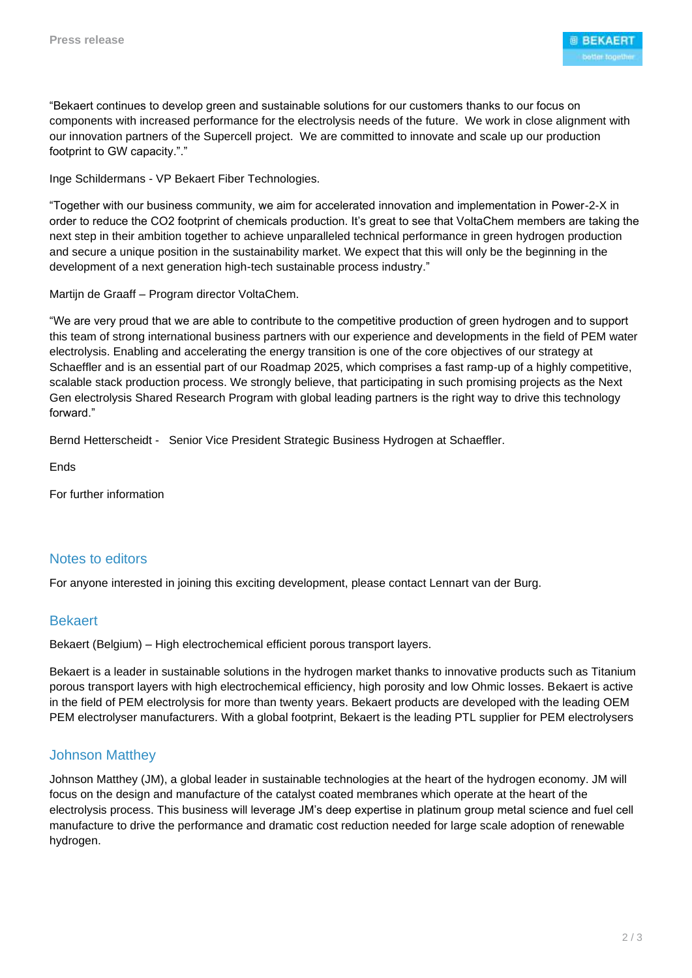

"Bekaert continues to develop green and sustainable solutions for our customers thanks to our focus on components with increased performance for the electrolysis needs of the future. We work in close alignment with our innovation partners of the Supercell project. We are committed to innovate and scale up our production footprint to GW capacity."."

Inge Schildermans - VP Bekaert Fiber Technologies.

"Together with our business community, we aim for accelerated innovation and implementation in Power-2-X in order to reduce the CO2 footprint of chemicals production. It's great to see that VoltaChem members are taking the next step in their ambition together to achieve unparalleled technical performance in green hydrogen production and secure a unique position in the sustainability market. We expect that this will only be the beginning in the development of a next generation high-tech sustainable process industry."

Martijn de Graaff – Program director VoltaChem.

"We are very proud that we are able to contribute to the competitive production of green hydrogen and to support this team of strong international business partners with our experience and developments in the field of PEM water electrolysis. Enabling and accelerating the energy transition is one of the core objectives of our strategy at Schaeffler and is an essential part of our Roadmap 2025, which comprises a fast ramp-up of a highly competitive, scalable stack production process. We strongly believe, that participating in such promising projects as the Next Gen electrolysis Shared Research Program with global leading partners is the right way to drive this technology forward."

Bernd Hetterscheidt - Senior Vice President Strategic Business Hydrogen at Schaeffler.

Ends

For further information

## Notes to editors

For anyone interested in joining this exciting development, please contact Lennart van der Burg.

## Bekaert

Bekaert (Belgium) – High electrochemical efficient porous transport layers.

Bekaert is a leader in sustainable solutions in the hydrogen market thanks to innovative products such as Titanium porous transport layers with high electrochemical efficiency, high porosity and low Ohmic losses. Bekaert is active in the field of PEM electrolysis for more than twenty years. Bekaert products are developed with the leading OEM PEM electrolyser manufacturers. With a global footprint, Bekaert is the leading PTL supplier for PEM electrolysers

## Johnson Matthey

Johnson Matthey (JM), a global leader in sustainable technologies at the heart of the hydrogen economy. JM will focus on the design and manufacture of the catalyst coated membranes which operate at the heart of the electrolysis process. This business will leverage JM's deep expertise in platinum group metal science and fuel cell manufacture to drive the performance and dramatic cost reduction needed for large scale adoption of renewable hydrogen.